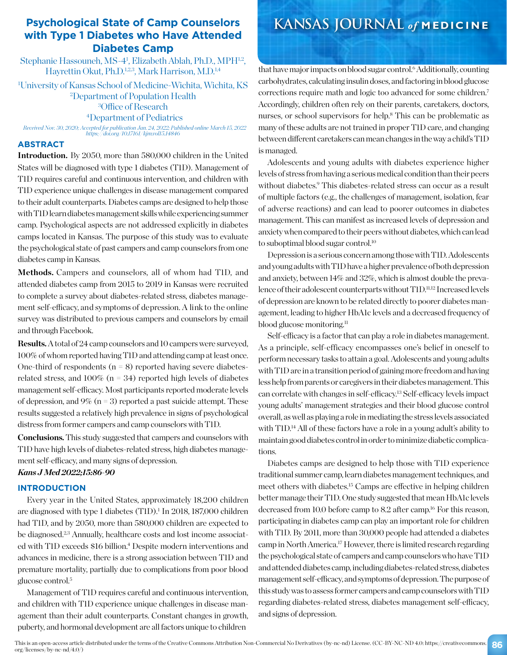### **Psychological State of Camp Counselors with Type 1 Diabetes who Have Attended Diabetes Camp**

Stephanie Hassouneh, MS-4<sup>1</sup>, Elizabeth Ablah, Ph.D., MPH<sup>1,2</sup>, Hayrettin Okut, Ph.D.<sup>1,2,3</sup>, Mark Harrison, M.D.<sup>1,4</sup>

University of Kansas School of Medicine-Wichita, Wichita, KS Department of Population Health Office of Research Department of Pediatrics

*Received Nov. 30, 2020; Accepted for publication Jan. 24, 2022; Published online March 15, 2022 https://doi.org/10.17161/kjm.vol15.14846*

#### **ABSTRACT**

**Introduction.** By 2050, more than 580,000 children in the United States will be diagnosed with type 1 diabetes (T1D). Management of T1D requires careful and continuous intervention, and children with T1D experience unique challenges in disease management compared to their adult counterparts. Diabetes camps are designed to help those with T1D learn diabetes management skills while experiencing summer camp. Psychological aspects are not addressed explicitly in diabetes camps located in Kansas. The purpose of this study was to evaluate the psychological state of past campers and camp counselors from one diabetes camp in Kansas.

**Methods.** Campers and counselors, all of whom had T1D, and attended diabetes camp from 2015 to 2019 in Kansas were recruited to complete a survey about diabetes-related stress, diabetes management self-efficacy, and symptoms of depression. A link to the online survey was distributed to previous campers and counselors by email and through Facebook.

**Results.** A total of 24 camp counselors and 10 campers were surveyed, 100% of whom reported having T1D and attending camp at least once. One-third of respondents ( $n = 8$ ) reported having severe diabetesrelated stress, and  $100\%$  (n = 34) reported high levels of diabetes management self-efficacy. Most participants reported moderate levels of depression, and 9% ( $n = 3$ ) reported a past suicide attempt. These results suggested a relatively high prevalence in signs of psychological distress from former campers and camp counselors with T1D.

**Conclusions.** This study suggested that campers and counselors with T1D have high levels of diabetes-related stress, high diabetes management self-efficacy, and many signs of depression.

#### *Kans J Med 2022;15:86-90*

#### **INTRODUCTION**

Every year in the United States, approximately 18,200 children are diagnosed with type 1 diabetes (T1D).<sup>1</sup> In 2018, 187,000 children had T1D, and by 2050, more than 580,000 children are expected to be diagnosed.2,3 Annually, healthcare costs and lost income associated with T1D exceeds \$16 billion.<sup>4</sup> Despite modern interventions and advances in medicine, there is a strong association between T1D and premature mortality, partially due to complications from poor blood glucose control.<sup>5</sup>

Management of T1D requires careful and continuous intervention, and children with T1D experience unique challenges in disease management than their adult counterparts. Constant changes in growth, puberty, and hormonal development are all factors unique to children

# **KANSAS JOURNAL** *of* **MEDICINE**

that have major impacts on blood sugar control.6 Additionally, counting carbohydrates, calculating insulin doses, and factoring in blood glucose corrections require math and logic too advanced for some children.7 Accordingly, children often rely on their parents, caretakers, doctors, nurses, or school supervisors for help.<sup>8</sup> This can be problematic as many of these adults are not trained in proper T1D care, and changing between different caretakers can mean changes in the way a child's T1D is managed.

Adolescents and young adults with diabetes experience higher levels of stress from having a serious medical condition than their peers without diabetes.9 This diabetes-related stress can occur as a result of multiple factors (e.g., the challenges of management, isolation, fear of adverse reactions) and can lead to poorer outcomes in diabetes management. This can manifest as increased levels of depression and anxiety when compared to their peers without diabetes, which can lead to suboptimal blood sugar control.10

Depression is a serious concern among those with T1D. Adolescents and young adults with T1D have a higher prevalence of both depression and anxiety, between 14% and 32%, which is almost double the prevalence of their adolescent counterparts without T1D.<sup>11,12</sup> Increased levels of depression are known to be related directly to poorer diabetes management, leading to higher HbA1c levels and a decreased frequency of blood glucose monitoring.<sup>11</sup>

Self-efficacy is a factor that can play a role in diabetes management. As a principle, self-efficacy encompasses one's belief in oneself to perform necessary tasks to attain a goal. Adolescents and young adults with T1D are in a transition period of gaining more freedom and having less help from parents or caregivers in their diabetes management. This can correlate with changes in self-efficacy.13 Self-efficacy levels impact young adults' management strategies and their blood glucose control overall, as well as playing a role in mediating the stress levels associated with T1D.<sup>14</sup> All of these factors have a role in a young adult's ability to maintain good diabetes control in order to minimize diabetic complications.

Diabetes camps are designed to help those with T1D experience traditional summer camp, learn diabetes management techniques, and meet others with diabetes.15 Camps are effective in helping children better manage their T1D. One study suggested that mean HbA1c levels decreased from 10.0 before camp to 8.2 after camp.<sup>16</sup> For this reason, participating in diabetes camp can play an important role for children with T1D. By 2011, more than 30,000 people had attended a diabetes camp in North America.17 However, there is limited research regarding the psychological state of campers and camp counselors who have T1D and attended diabetes camp, including diabetes-related stress, diabetes management self-efficacy, and symptoms of depression. The purpose of this study was to assess former campers and camp counselors with T1D regarding diabetes-related stress, diabetes management self-efficacy, and signs of depression.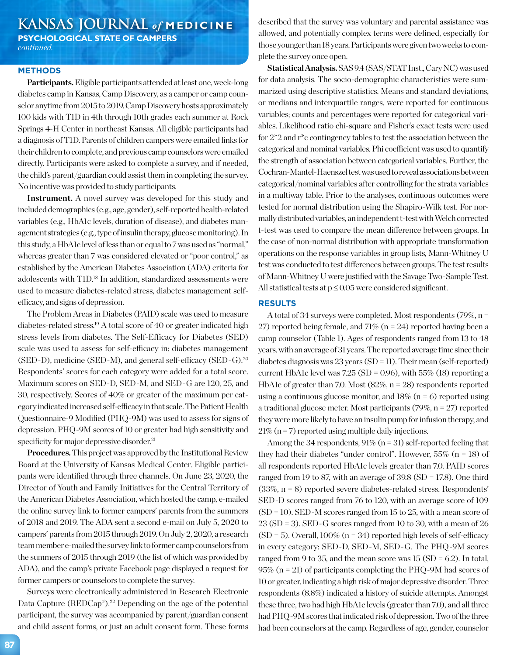## **KANSAS JOURNAL** *of* **MEDICINE**

**PSYCHOLOGICAL STATE OF CAMPERS** *continued.*

#### **METHODS**

**Participants.** Eligible participants attended at least one, week-long diabetes camp in Kansas, Camp Discovery, as a camper or camp counselor anytime from 2015 to 2019. Camp Discovery hosts approximately 100 kids with T1D in 4th through 10th grades each summer at Rock Springs 4-H Center in northeast Kansas. All eligible participants had a diagnosis of T1D. Parents of children campers were emailed links for their children to complete, and previous camp counselors were emailed directly. Participants were asked to complete a survey, and if needed, the child's parent/guardian could assist them in completing the survey. No incentive was provided to study participants.

**Instrument.** A novel survey was developed for this study and included demographics (e.g., age, gender), self-reported health-related variables (e.g., HbA1c levels, duration of disease), and diabetes management strategies (e.g., type of insulin therapy, glucose monitoring). In this study, a HbA1c level of less than or equal to 7 was used as "normal," whereas greater than 7 was considered elevated or "poor control," as established by the American Diabetes Association (ADA) criteria for adolescents with T1D.18 In addition, standardized assessments were used to measure diabetes-related stress, diabetes management selfefficacy, and signs of depression.

The Problem Areas in Diabetes (PAID) scale was used to measure diabetes-related stress.19 A total score of 40 or greater indicated high stress levels from diabetes. The Self-Efficacy for Diabetes (SED) scale was used to assess for self-efficacy in: diabetes management (SED-D), medicine (SED-M), and general self-efficacy (SED-G).20 Respondents' scores for each category were added for a total score. Maximum scores on SED-D, SED-M, and SED-G are 120, 25, and 30, respectively. Scores of 40% or greater of the maximum per category indicated increased self-efficacy in that scale. The Patient Health Questionnaire-9 Modified (PHQ-9M) was used to assess for signs of depression. PHQ-9M scores of 10 or greater had high sensitivity and specificity for major depressive disorder.<sup>21</sup>

**Procedures.** This project was approved by the Institutional Review Board at the University of Kansas Medical Center. Eligible participants were identified through three channels. On June 23, 2020, the Director of Youth and Family Initiatives for the Central Territory of the American Diabetes Association, which hosted the camp, e-mailed the online survey link to former campers' parents from the summers of 2018 and 2019. The ADA sent a second e-mail on July 5, 2020 to campers' parents from 2015 through 2019. On July 2, 2020, a research team member e-mailed the survey link to former camp counselors from the summers of 2015 through 2019 (the list of which was provided by ADA), and the camp's private Facebook page displayed a request for former campers or counselors to complete the survey.

Surveys were electronically administered in Research Electronic Data Capture (REDCap®).<sup>22</sup> Depending on the age of the potential participant, the survey was accompanied by parent/guardian consent and child assent forms, or just an adult consent form. These forms

described that the survey was voluntary and parental assistance was allowed, and potentially complex terms were defined, especially for those younger than 18 years. Participants were given two weeks to complete the survey once open.

**Statistical Analysis.** SAS 9.4 (SAS/STAT Inst., Cary NC) was used for data analysis. The socio-demographic characteristics were summarized using descriptive statistics. Means and standard deviations, or medians and interquartile ranges, were reported for continuous variables; counts and percentages were reported for categorical variables. Likelihood ratio chi-square and Fisher's exact tests were used for 2\*2 and r\*c contingency tables to test the association between the categorical and nominal variables. Phi coefficient was used to quantify the strength of association between categorical variables. Further, the Cochran-Mantel-Haenszel test was used to reveal associations between categorical/nominal variables after controlling for the strata variables in a multiway table. Prior to the analyses, continuous outcomes were tested for normal distribution using the Shapiro-Wilk test. For normally distributed variables, an independent t-test with Welch corrected t-test was used to compare the mean difference between groups. In the case of non-normal distribution with appropriate transformation operations on the response variables in group lists, Mann-Whitney U test was conducted to test differences between groups. The test results of Mann-Whitney U were justified with the Savage Two-Sample Test. All statistical tests at  $p \leq 0.05$  were considered significant.

#### **RESULTS**

A total of 34 surveys were completed. Most respondents (79%, n = 27) reported being female, and 71% ( $n = 24$ ) reported having been a camp counselor (Table 1). Ages of respondents ranged from 13 to 48 years, with an average of 31 years. The reported average time since their diabetes diagnosis was 23 years (SD = 11). Their mean (self-reported) current HbA1c level was  $7.25$  (SD = 0.96), with  $55\%$  (18) reporting a HbA1c of greater than 7.0. Most (82%, n = 28) respondents reported using a continuous glucose monitor, and  $18\%$  (n = 6) reported using a traditional glucose meter. Most participants  $(79\%, n = 27)$  reported they were more likely to have an insulin pump for infusion therapy, and  $21\%$  (n = 7) reported using multiple daily injections.

Among the 34 respondents,  $91\%$  (n = 31) self-reported feeling that they had their diabetes "under control". However,  $55\%$  (n = 18) of all respondents reported HbA1c levels greater than 7.0. PAID scores ranged from 19 to 87, with an average of 39.8 (SD = 17.8). One third  $(33\% \text{ n} = 8)$  reported severe diabetes-related stress. Respondents' SED-D scores ranged from 76 to 120, with an average score of 109  $(SD = 10)$ . SED-M scores ranged from 15 to 25, with a mean score of  $23$  (SD = 3). SED-G scores ranged from 10 to 30, with a mean of 26  $(SD = 5)$ . Overall, 100% (n = 34) reported high levels of self-efficacy in every category: SED-D, SED-M, SED-G. The PHQ-9M scores ranged from 9 to 35, and the mean score was  $15 (SD = 6.2)$ . In total, 95% (n = 21) of participants completing the PHQ-9M had scores of 10 or greater, indicating a high risk of major depressive disorder. Three respondents (8.8%) indicated a history of suicide attempts. Amongst these three, two had high HbA1c levels (greater than 7.0), and all three had PHQ-9M scores that indicated risk of depression. Two of the three had been counselors at the camp. Regardless of age, gender, counselor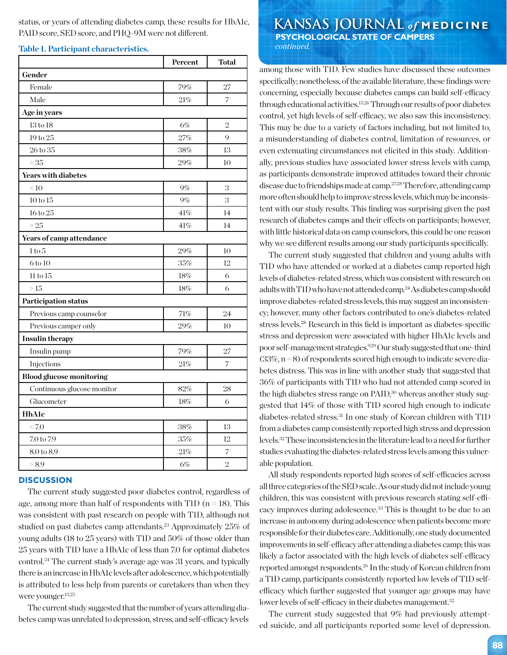status, or years of attending diabetes camp, these results for HbA1c, PAID score, SED score, and PHQ-9M were not different.

#### **Table 1. Participant characteristics.**

|                                 | Percent | <b>Total</b>   |
|---------------------------------|---------|----------------|
| Gender                          |         |                |
| Female                          | 79%     | 27             |
| Male                            | 21%     | 7              |
| Age in years                    |         |                |
| $13$ to $18$                    | 6%      | $\overline{2}$ |
| 19 to 25                        | 27%     | 9              |
| $26$ to $35$                    | 38%     | 13             |
| >35                             | 29%     | 10             |
| Years with diabetes             |         |                |
| $\leq 10$                       | $9\%$   | 3              |
| 10 to 15                        | 9%      | 3              |
| 16 to 25                        | 41%     | 14             |
| >25                             | 41%     | 14             |
| Years of camp attendance        |         |                |
| 1 to 5                          | 29%     | 10             |
| 6 to 10                         | $35\%$  | 12             |
| 11 to 15                        | 18%     | 6              |
| >15                             | 18%     | 6              |
| <b>Participation status</b>     |         |                |
| Previous camp counselor         | 71%     | 24             |
| Previous camper only            | 29%     | 10             |
| <b>Insulin therapy</b>          |         |                |
| Insulin pump                    | 79%     | 27             |
| Injections                      | 21%     | 7              |
| <b>Blood glucose monitoring</b> |         |                |
| Continuous glucose monitor      | 82%     | 28             |
| Glucometer                      | 18%     | 6              |
| <b>HbAlc</b>                    |         |                |
| < 7.0                           | 38%     | 13             |
| $7.0$ to $7.9\,$                | 35%     | 12             |
| 8.0 to 8.9                      | 21%     | 7              |
| > 8.9                           | 6%      | $\overline{2}$ |

#### **DISCUSSION**

The current study suggested poor diabetes control, regardless of age, among more than half of respondents with T1D  $(n = 18)$ . This was consistent with past research on people with T1D, although not studied on past diabetes camp attendants.<sup>23</sup> Approximately 25% of young adults (18 to 25 years) with T1D and 50% of those older than 25 years with T1D have a HbA1c of less than 7.0 for optimal diabetes control.<sup>24</sup> The current study's average age was 31 years, and typically there is an increase in HbA1c levels after adolescence, which potentially is attributed to less help from parents or caretakers than when they were younger.13,25

The current study suggested that the number of years attending diabetes camp was unrelated to depression, stress, and self-efficacy levels

## **KANSAS JOURNAL** *of* **MEDICINE PSYCHOLOGICAL STATE OF CAMPERS**

 *continued.*

among those with T1D. Few studies have discussed these outcomes specifically; nonetheless, of the available literature, these findings were concerning, especially because diabetes camps can build self-efficacy through educational activities.15,26 Through our results of poor diabetes control, yet high levels of self-efficacy, we also saw this inconsistency. This may be due to a variety of factors including, but not limited to, a misunderstanding of diabetes control, limitation of resources, or even extenuating circumstances not elicited in this study. Additionally, previous studies have associated lower stress levels with camp, as participants demonstrate improved attitudes toward their chronic disease due to friendships made at camp.<sup>27,28</sup> Therefore, attending camp more often should help to improve stress levels, which may be inconsistent with our study results. This finding was surprising given the past research of diabetes camps and their effects on participants; however, with little historical data on camp counselors, this could be one reason why we see different results among our study participants specifically.

The current study suggested that children and young adults with T1D who have attended or worked at a diabetes camp reported high levels of diabetes-related stress, which was consistent with research on adults with T1D who have not attended camp.24 As diabetes camp should improve diabetes-related stress levels, this may suggest an inconsistency; however, many other factors contributed to one's diabetes-related stress levels.28 Research in this field is important as diabetes-specific stress and depression were associated with higher HbA1c levels and poor self-management strategies.9,29 Our study suggested that one-third  $(33\%, n=8)$  of respondents scored high enough to indicate severe diabetes distress. This was in line with another study that suggested that 36% of participants with T1D who had not attended camp scored in the high diabetes stress range on PAID,<sup>30</sup> whereas another study suggested that 14% of those with T1D scored high enough to indicate diabetes-related stress.31 In one study of Korean children with T1D from a diabetes camp consistently reported high stress and depression levels.32 These inconsistencies in the literature lead to a need for further studies evaluating the diabetes-related stress levels among this vulnerable population.

All study respondents reported high scores of self-efficacies across all three categories of the SED scale. As our study did not include young children, this was consistent with previous research stating self-efficacy improves during adolescence.33 This is thought to be due to an increase in autonomy during adolescence when patients become more responsible for their diabetes care. Additionally, one study documented improvements in self-efficacy after attending a diabetes camp; this was likely a factor associated with the high levels of diabetes self-efficacy reported amongst respondents.26 In the study of Korean children from a T1D camp, participants consistently reported low levels of T1D selfefficacy which further suggested that younger age groups may have lower levels of self-efficacy in their diabetes management.<sup>32</sup>

The current study suggested that 9% had previously attempted suicide, and all participants reported some level of depression.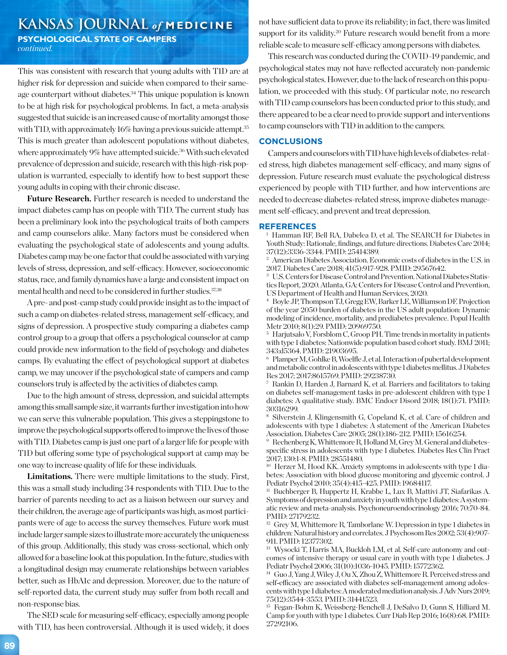# **KANSAS JOURNAL** *of* **MEDICINE**

**PSYCHOLOGICAL STATE OF CAMPERS** *continued.*

This was consistent with research that young adults with T1D are at higher risk for depression and suicide when compared to their sameage counterpart without diabetes.<sup>34</sup> This unique population is known to be at high risk for psychological problems. In fact, a meta-analysis suggested that suicide is an increased cause of mortality amongst those with T1D, with approximately 16% having a previous suicide attempt.<sup>35</sup> This is much greater than adolescent populations without diabetes, where approximately 9% have attempted suicide.<sup>36</sup> With such elevated prevalence of depression and suicide, research with this high-risk population is warranted, especially to identify how to best support these young adults in coping with their chronic disease.

**Future Research.** Further research is needed to understand the impact diabetes camp has on people with T1D. The current study has been a preliminary look into the psychological traits of both campers and camp counselors alike. Many factors must be considered when evaluating the psychological state of adolescents and young adults. Diabetes camp may be one factor that could be associated with varying levels of stress, depression, and self-efficacy. However, socioeconomic status, race, and family dynamics have a large and consistent impact on mental health and need to be considered in further studies.37,38

A pre- and post-camp study could provide insight as to the impact of such a camp on diabetes-related stress, management self-efficacy, and signs of depression. A prospective study comparing a diabetes camp control group to a group that offers a psychological counselor at camp could provide new information to the field of psychology and diabetes camps. By evaluating the effect of psychological support at diabetes camp, we may uncover if the psychological state of campers and camp counselors truly is affected by the activities of diabetes camp.

Due to the high amount of stress, depression, and suicidal attempts among this small sample size, it warrants further investigation into how we can serve this vulnerable population. This gives a steppingstone to improve the psychological supports offered to improve the lives of those with T1D. Diabetes camp is just one part of a larger life for people with T1D but offering some type of psychological support at camp may be one way to increase quality of life for these individuals.

**Limitations.** There were multiple limitations to the study. First, this was a small study including 34 respondents with T1D. Due to the barrier of parents needing to act as a liaison between our survey and their children, the average age of participants was high, as most participants were of age to access the survey themselves. Future work must include larger sample sizes to illustrate more accurately the uniqueness of this group. Additionally, this study was cross-sectional, which only allowed for a baseline look at this population. In the future, studies with a longitudinal design may enumerate relationships between variables better, such as HbA1c and depression. Moreover, due to the nature of self-reported data, the current study may suffer from both recall and non-response bias.

The SED scale for measuring self-efficacy, especially among people with T1D, has been controversial. Although it is used widely, it does not have sufficient data to prove its reliability; in fact, there was limited support for its validity.<sup>20</sup> Future research would benefit from a more reliable scale to measure self-efficacy among persons with diabetes.

This research was conducted during the COVID-19 pandemic, and psychological states may not have reflected accurately non-pandemic psychological states. However, due to the lack of research on this population, we proceeded with this study. Of particular note, no research with T1D camp counselors has been conducted prior to this study, and there appeared to be a clear need to provide support and interventions to camp counselors with T1D in addition to the campers.

#### **CONCLUSIONS**

Campers and counselors with T1D have high levels of diabetes-related stress, high diabetes management self-efficacy, and many signs of depression. Future research must evaluate the psychological distress experienced by people with T1D further, and how interventions are needed to decrease diabetes-related stress, improve diabetes management self-efficacy, and prevent and treat depression.

#### **REFERENCES**

<sup>1</sup> Hamman RF, Bell RA, Dabelea D, et al. The SEARCH for Diabetes in Youth Study: Rationale, findings, and future directions. Diabetes Care 2014; 37(12):3336-3344. PMID: 25414389.

<sup>2</sup> American Diabetes Association. Economic costs of diabetes in the U.S. in 2017. Diabetes Care 2018; 41(5):917-928. PMID: 29567642.

<sup>3</sup> U.S. Centers for Disease Control and Prevention. National Diabetes Statistics Report, 2020. Atlanta, GA: Centers for Disease Control and Prevention, US Department of Health and Human Services, 2020.

<sup>4</sup> Boyle JP, Thompson TJ, Gregg EW, Barker LE, Williamson DF. Projection of the year 2050 burden of diabetes in the US adult population: Dynamic modeling of incidence, mortality, and prediabetes prevalence. Popul Health Metr 2010; 8(1):29. PMID: 20969750.

<sup>5</sup> Harjutsalo V, Forsblom C, Groop PH. Time trends in mortality in patients with type 1 diabetes: Nationwide population based cohort study. BMJ 2011; 343:d5364. PMID: 21903695.

<sup>6</sup> Plamper M, Gohlke B, Woelfle J, et al. Interaction of pubertal development and metabolic control in adolescents with type 1 diabetes mellitus. J Diabetes Res 2017; 2017:8615769. PMID: 29238730.

<sup>7</sup> Rankin D, Harden J, Barnard K, et al. Barriers and facilitators to taking on diabetes self-management tasks in pre-adolescent children with type 1 diabetes: A qualitative study. BMC Endocr Disord 2018; 18(1):71. PMID: 30316299.

<sup>8</sup> Silverstein J, Klingensmith G, Copeland K, et al. Care of children and adolescents with type 1 diabetes: A statement of the American Diabetes Association. Diabetes Care 2005; 28(1):186-212. PMID: 15616254.

<sup>9</sup> Rechenberg K, Whittemore R, Holland M, Grey M. General and diabetesspecific stress in adolescents with type 1 diabetes. Diabetes Res Clin Pract 2017; 130:1-8. PMID: 28551480.

<sup>10</sup> Herzer M, Hood KK. Anxiety symptoms in adolescents with type 1 diabetes: Association with blood glucose monitoring and glycemic control. J Pediatr Psychol 2010; 35(4):415-425. PMID: 19684117.

<sup>11</sup> Buchberger B, Huppertz H, Krabbe L, Lux B, Mattivi JT, Siafarikas A. Symptoms of depression and anxiety in youth with type 1 diabetes: A systematic review and meta-analysis. Psychoneuroendocrinology 2016; 70:70-84. PMID: 27179232.

<sup>12</sup> Grey M, Whittemore R, Tamborlane W. Depression in type 1 diabetes in children: Natural history and correlates. J Psychosom Res 2002; 53(4):907- 911. PMID: 12377302.

<sup>13</sup> Wysocki T, Harris MA, Buckloh LM, et al. Self-care autonomy and outcomes of intensive therapy or usual care in youth with type 1 diabetes. J Pediatr Psychol 2006; 31(10):1036-1045. PMID: 15772362.

<sup>14</sup> Guo J, Yang J, Wiley J, Ou X, Zhou Z, Whittemore R. Perceived stress and self-efficacy are associated with diabetes self-management among adolescents with type 1 diabetes: A moderated mediation analysis. J Adv Nurs 2019; 75(12):3544-3553. PMID: 31441523.

<sup>15</sup> Fegan-Bohm K, Weissberg-Benchell J, DeSalvo D, Gunn S, Hilliard M. Camp for youth with type 1 diabetes. Curr Diab Rep 2016; 16(8):68. PMID: 27292106.